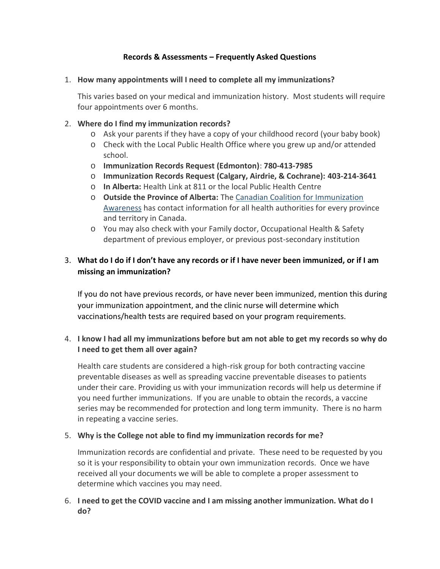### **Records & Assessments – Frequently Asked Questions**

#### 1. **How many appointments will I need to complete all my immunizations?**

This varies based on your medical and immunization history. Most students will require four appointments over 6 months.

### 2. **Where do I find my immunization records?**

- o Ask your parents if they have a copy of your childhood record (your baby book)
- o Check with the Local Public Health Office where you grew up and/or attended school.
- o **Immunization Records Request (Edmonton)**: **780-413-7985**
- o **Immunization Records Request (Calgary, Airdrie, & Cochrane): 403-214-3641**
- o **In Alberta:** Health Link at 811 or the local Public Health Centre
- o **Outside the Province of Alberta:** The Canadian Coalition for Immunization Awareness has contact information for all health authorities for every province and territory in Canada.
- o You may also check with your Family doctor, Occupational Health & Safety department of previous employer, or previous post-secondary institution

# 3. **What do I do if I don't have any records or if I have never been immunized, or if I am missing an immunization?**

If you do not have previous records, or have never been immunized, mention this during your immunization appointment, and the clinic nurse will determine which vaccinations/health tests are required based on your program requirements.

# 4. **I know I had all my immunizations before but am not able to get my records so why do I need to get them all over again?**

Health care students are considered a high-risk group for both contracting vaccine preventable diseases as well as spreading vaccine preventable diseases to patients under their care. Providing us with your immunization records will help us determine if you need further immunizations. If you are unable to obtain the records, a vaccine series may be recommended for protection and long term immunity. There is no harm in repeating a vaccine series.

### 5. **Why is the College not able to find my immunization records for me?**

Immunization records are confidential and private. These need to be requested by you so it is your responsibility to obtain your own immunization records. Once we have received all your documents we will be able to complete a proper assessment to determine which vaccines you may need.

# 6. **I need to get the COVID vaccine and I am missing another immunization. What do I do?**